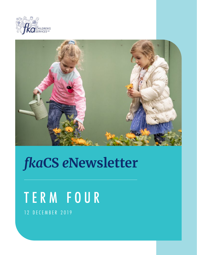



## *fka***CS** *e***Newsletter**

# TERM FOUR

12 DECEMBER 2019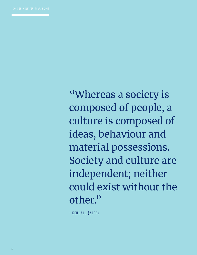"Whereas a society is composed of people, a culture is composed of ideas, behaviour and material possessions. Society and culture are independent; neither could exist without the other."

- KENDALL (2006)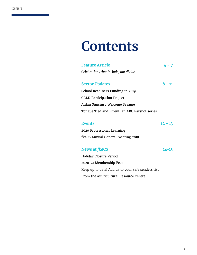## **Contents**

| <b>Feature Article</b>                        | 4 - 7    |
|-----------------------------------------------|----------|
| Celebrations that include, not divide         |          |
|                                               |          |
| <b>Sector Updates</b>                         | $8 - 11$ |
| School Readiness Funding in 2019              |          |
| <b>CALD Participation Project</b>             |          |
| Ahlan Simsim / Welcome Sesame                 |          |
| Tongue Tied and Fluent, an ABC Earshot series |          |
|                                               |          |
| Events                                        | 12 - 13  |

2020 Professional Learning fkaCS Annual General Meeting 2019

#### **News at** *fka***CS 14-15**

Holiday Closure Period 2020-21 Membership Fees Keep up to date! Add us to your safe senders list From the Multicultural Resource Centre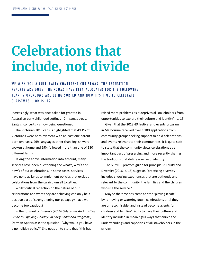## **Celebrations that include, not divide**

WE WISH YOU A CULTURALLY COMPETENT CHRISTMAS! THE TRANSITION REPORTS ARE DONE, THE ROOMS HAVE BEEN ALLOCATED FOR THE FOLLOWING YEAR, STOREROOMS ARE BEING SORTED AND NOW IT'S TIME TO CELEBRATE CHRISTMAS... OR IS IT?

Increasingly, what was once taken for granted in Australian early childhood settings - Christmas trees, Santa's, concerts - is now being questioned.

The Victorian 2016 census highlighted that 49.1% of Victorians were born overseas with at least one parent born overseas. 26% languages other than English were spoken at home and 59% followed more than one of 130 different faiths.

Taking the above information into account, many services have been questioning the what's, why's and how's of our celebrations. In some cases, services have gone as far as to implement policies that exclude celebrations from the curriculum all together.

Whilst critical reflection on the nature of our celebrations and what they are achieving can only be a positive part of strengthening our pedagogy, have we become too cautious?

In the forward of Bisson's (2016) *Celebrate! An Anti-Bias Guide to Enjoying Holidays in Early Childhood Programs*, Derman-Sparks asks the question, "why would you have a no holiday policy?" She goes on to state that "this has

raised more problems as it deprives all stakeholders from opportunities to explore their culture and identity" (p. 16). Given that the 2018-19 festival and events program in Melbourne received over 1,100 applications from community groups seeking support to hold celebrations and events relevant to their communities; it is quite safe to state that the community views celebrations as an important part of preserving and more recently sharing the traditions that define a sense of identity.

The VEYLDF practice guide for principle 5: Equity and Diversity (2016, p. 16) suggests "practicing diversity includes choosing experiences that are authentic and relevant to the community, the families and the children who use the service."

Maybe the time has come to stop 'playing it safe' by removing or watering down celebrations until they are unrecognisable, and instead become agents for children and families' rights to have their culture and identity included in meaningful ways that enrich the understandings and capacities of all stakeholders in the service.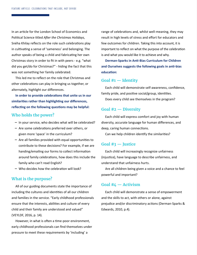In an article for the London School of Economics and Political Science titled *After the Christmas Holidays*, Snéha Khilay reflects on the role such celebrations play in cultivating a sense of 'sameness' and belonging. The author speaks of being a child and fabricating her own Christmas story in order to fit in with peers - e.g. "what did you get/do for Christmas?" - hiding the fact that this was not something her family celebrated.

This led me to reflect on the role that Christmas and other celebrations can play in bringing us together, or alternately, highlight our differences.

**In order to provide celebrations that unite us in our similarities rather than highlighting our differences, reflecting on the following questions may be helpful:**

#### **Who holds the power?**

- **–** In your service, who decides what will be celebrated?
- **–** Are some celebrations preferred over others, or given more 'space' in the curriculum?
- **–** Are all families provided with equal opportunities to contribute to these decisions? For example, if we are handing/emailing our forms to collect information around family celebrations, how does this include the family who can't read English?
- **–** Who decides how the celebration will look?

#### **What is the purpose?**

All of our guiding documents state the importance of including the cultures and identities of all our children and families in the service. "Early childhood professionals ensure that the interests, abilities and culture of every child and their family are understood and valued" (VEYLDF, 2016, p. 14).

However, in what is often a time-poor environment, early childhood professionals can find themselves under pressure to meet these requirements by 'including' a

range of celebrations and, whilst well-meaning, they may result in high levels of stress and effort for educators and few outcomes for children. Taking this into account, it is important to reflect on what the purpose of the celebration is and what you would like it to achieve and why.

**Derman-Sparks in Anti-Bias Curriculum for Children and Ourselves suggests the following goals in anti-bias education:**

#### **Goal #1 — Identity**

Each child will demonstrate self-awareness, confidence, family pride, and positive social/group, identities. Does every child see themselves in the program?

#### **Goal #2 — Diversity**

Each child will express comfort and joy with human diversity, accurate language for human differences, and deep, caring human connections.

Can we help children identify the similarities?

#### **Goal #3 — Justice**

Each child will increasingly recognize unfairness (injustice), have language to describe unfairness, and understand that unfairness hurts.

Are all children being given a voice and a chance to feel powerful and important?

#### **Goal #4 — Activism**

Each child will demonstrate a sense of empowerment and the skills to act, with others or alone, against prejudice and/or discriminatory actions (Derman-Sparks & Edwards, 2010, p.4).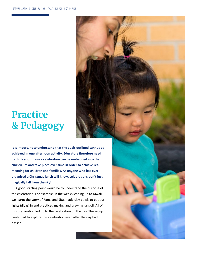## **Practice & Pedagogy**

**It is important to understand that the goals outlined cannot be achieved in one afternoon activity. Educators therefore need to think about how a celebration can be embedded into the curriculum and take place over time in order to achieve real meaning for children and families. As anyone who has ever organised a Christmas lunch will know, celebrations don't just magically fall from the sky!**

A good starting point would be to understand the purpose of the celebration. For example, in the weeks leading up to Diwali, we learnt the story of Rama and Sita, made clay bowls to put our lights (diyas) in and practiced making and drawing rangoli. All of this preparation led up to the celebration on the day. The group continued to explore this celebration even after the day had passed.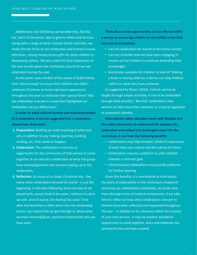Additionally, last Christmas we decided that, like Eid, the 'spirit of Christmas' was to give to others and be kind. Along with a range of other interest-driven activities, we made this the focus of our celebration and hosted a movie afternoon, raising money to buy gifts for other children in developing nations. We also used this final celebration of the year to talk about the similarities around all we had celebrated during the year.

At this point I was mindful of the words of Snéha Khilay. Had I done enough to ensure that children who didn't celebrate Christmas at home had equal opportunity throughout the year to celebrate their special times? Was the celebration enacted in a way that highlighted our similarities not our differences?

**In order to avoid cultural tourism and misinterpretation of a celebration, it may be suggested that a celebration should have three parts:**

- **1. Preparation:** Building an understanding of what and why in addition to any making, learning, cooking, inviting, etc. that needs to happen.
- **2. Celebration:** The celebration is not only an opportunity for the community of that service to come together, it can also be a celebration of what the group have learned/gained in the process leading up to the celebration.
- **3. Reflection:** As many of us know, Christmas day like many other celebrations around the world - is just the beginning. In the days following, there are toys to be played with, excess food to be eaten, relatives to catch up with, and of course, the Boxing Day sales! Time after the festivities is often when the real celebrating occurs; we rejoice that we got through it, about what we have received/given, and most importantly who we have seen.

**Think about what opportunities can be offered within a service to encourage children to consolidate what they have learnt and gained:**

- **–** Can the celebration be moved to the home corner?
- **–** Can any activities that we have been engaging in remain out for children to continue extending their knowledge?
- **–** Are photos available for children to look at? Making a book or having slides on a device can help children reflect on what they have achieved.

As suggested by Bisson (2016), 'culture cannot be taught through simple activities, it has to be embedded through daily practice'. 'Box tick' celebrations may amount to little more than tokenism, or a tourist approach to someone's identity.

**Alternatively, when educators work with families and the wider community to understand the purpose of a celebration and embed it in meaningful ways into the curriculum, it can have the following benefits:**

- **–** Celebrations may help broaden children's awareness of both their own culture and the culture of others
- **–** Celebrations may be a platform to unify children towards a common goal
- **–** Interest based celebrations may provide platforms for further learning

Given the benefits, it is worthwhile to think about the place of celebrations in the curriculum; instead of removing our celebrations completely, we could view them through a lens of cultural competence. If we take time to reflect on how other celebrations relevant to families have been reflected and respected throughout the year - in addition to its relevance within the context of your own service - it may be another wonderful opportunity to come together, learn and celebrate the community that we have created.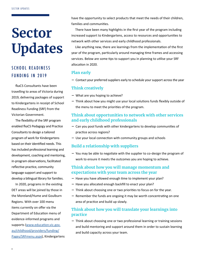# **Sector Updates**

### SCHOOL READINESS FUNDING IN 2019

fkaCS Consultants have been travelling to areas of Victoria during 2019, delivering packages of support to Kindergartens in receipt of School Readiness Funding (SRF) from the Victorian Government.

The flexibility of the SRF program enabled fkaCS Pedagogy and Practice Consultants to design a tailored program of work for Kindergartens based on their identified needs. This has included professional learning and development, coaching and mentoring, in-program observations, facilitated reflective practice, community language support and support to develop a bilingual library for families.

In 2020, programs in the existing DET areas will be joined by those in the Moreland/Hume and Goulburn Regions. With over 100 menu items currently on offer via the Department of Education menu of evidence-informed programs and supports [\(www.education.vic.gov.](https://www.education.vic.gov.au/childhood/providers/funding/Pages/SRFmenu.aspx) [au/childhood/providers/funding/](https://www.education.vic.gov.au/childhood/providers/funding/Pages/SRFmenu.aspx) [Pages/SRFmenu.aspx\)](https://www.education.vic.gov.au/childhood/providers/funding/Pages/SRFmenu.aspx), Kindergartens have the opportunity to select products that meet the needs of their children, families and communities.

There have been many highlights in the first year of the program including increased support to Kindergartens, access to resources and opportunities to network with other services and early childhood professionals.

Like anything new, there are learnings from the implementation of the first year of the program, particularly around managing time frames and accessing services. Below are some tips to support you in planning to utilise your SRF allocation in 2020.

#### **Plan early**

**–** Contact your preferred suppliers early to schedule your support across the year

#### **Think creatively**

- **–** What are you hoping to achieve?
- **–** Think about how you might use your local solutions funds flexibly outside of the menu to meet the priorities of the program.

#### **Think about opportunities to network with other services and early childhood professionals**

- **–** Can you pool funds with other kindergartens to develop communities of practice across regions?
- **–** Use your local connection with community groups and schools

#### **Build a relationship with suppliers**

**–** You may be able to negotiate with the supplier to co-design the program of work to ensure it meets the outcomes you are hoping to achieve.

#### **Think about how you will manage momentum and expectations with your team across the year**

- **–** Have you have allowed enough time to implement your plan?
- **–** Have you allocated enough backfill to enact your plan?
- **–** Think about choosing one or two priorities to focus on for the year.
- **–** Remember the funds are ongoing it may be worth concentrating on one area of practice and build up slowly.

#### **Think about how you will translate your learnings into practice**

**–** Think about choosing one or two professional learning or training sessions and build mentoring and support around them in order to sustain learning and build capacity across your team.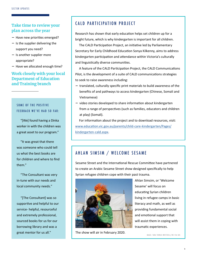#### **Take time to review your plan across the year**

- **–** Have new priorities emerged?
- **–** Is the supplier delivering the support you need?
- **–** Is another supplier more appropriate?
- **–** Have we allocated enough time?

#### **Work closely with your local Department of Education and Training branch**

#### SOME OF THE POSITIVE FEEDBACK WE'VE HAD SO FAR:

"[We] found having a Dinka worker in with the children was a great asset to our program."

"It was great that there was someone who could tell us what the best books are for children and where to find them."

"The Consultant was very in-tune with our needs and local community needs."

"[The Consultant] was so supportive and helpful to our service- helpful, resourceful and extremely professional, sourced books for us for our borrowing library and was a great mentor for us all."

#### CALD PARTICIPATION PROJECT

Research has shown that early education helps set children up for a bright future, which is why kindergarten is important for all children.

The CALD Participation Project, an initiative led by Parliamentary Secretary for Early Childhood Education Sonya Kilkenny, aims to address kindergarten participation and attendance within Victoria's culturally and linguistically diverse communities.

A feature of the CALD Participation Project, the CALD Communications Pilot, is the development of a suite of CALD communications strategies to seek to raise awareness including:

- **–** translated, culturally specific print materials to build awareness of the benefits of and pathways to access kindergarten (Chinese, Somali and Vietnamese)
- **–** video stories developed to share information about kindergarten from a range of perspectives (such as families, educators and children at play) (Somali).

For information about the project and to download resources, visit: [www.education.vic.gov.au/parents/child-care-kindergarten/Pages/](http://www.education.vic.gov.au/parents/child-care-kindergarten/Pages/kindergarten-cald.aspx) [kindergarten-cald.aspx.](http://www.education.vic.gov.au/parents/child-care-kindergarten/Pages/kindergarten-cald.aspx)

#### AHLAN SIMSIM / WELCOME SESAME

Sesame Street and the International Rescue Committee have partnered to create an Arabic Sesame Street show designed specifically to help Syrian refugee children cope with their past trauma.



The show will air in February 2020.

Ahlan Simsim, or 'Welcome Sesame' will focus on educating Syrian children living in refugee camps in basic literacy and math, as well as providing fundamental social and emotional support that will assist them in coping with traumatic experiences.

IMAGE: TARA TODRAS-WHITEHILL/IRC VIA SBS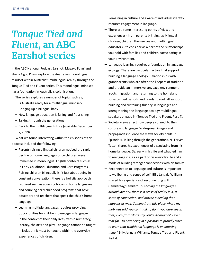## *Tongue Tied and Fluent***, an ABC Earshot series**

In the ABC National Podcast Earshot, Masako Fukui and Sheila Ngoc Pham explore the Australian monolingual mindset within Australia's multilingual reality through the Tongue Tied and Fluent series. This monolingual mindset has a foundation in Australia's colonisation.

The series explores a number of topics such as;

- **–** Is Australia ready for a multilingual mindset?
- **–** Bringing up a bilingual baby
- **–** How language education is failing and flourishing
- **–** Talking through the generations
- **–** Back to the multilingual future (available December 7, 2019)

What we found interesting within the episodes of this podcast included the following;

- **–** Parents raising bilingual children noticed the rapid decline of home languages once children were immersed in monolingual English contexts such as in Early Childhood Education and Care Programs. Raising children bilingually isn't just about being in constant conversation, there is a holistic approach required such as sourcing books in home languages and sourcing early childhood programs that have educators and teachers that speak the child's home language.
- **–** Learning multiple languages requires providing opportunities for children to engage in language in the context of their daily lives, within numeracy, literacy, the arts and play. Language cannot be taught in isolation; it must be taught within the everyday experiences of children.
- **–** Remaining in culture and aware of individual identity requires engagement in language.
- **–** There are some interesting points of view and experiences - from parents bringing up bilingual children, children themselves and multilingual educators - to consider as a part of the relationships you hold with families and children participating in your environment.
- **–** Language learning requires a foundation in language ecology. There are particular factors that support building a language ecology. Relationships with grandparents who are often the keepers of tradition and provide an immersive language environment, 'roots migration' and returning to the homeland for extended periods and regular travel, all support building and sustaining fluency in languages and strengthening the language ecology multilingual speakers engage in (Tongue Tied and Fluent, Part 4).
- **–** Societal views affect how people connect to their culture and language. Widespread images and propaganda influence the views society holds. In Episode 4, Talking through the generations, Nii Laryea Tetteh shares his experiences of dissociating from his home language, Ga, early in his life and what led him to reengage in Ga as a part of his everyday life and a mode of building stronger connections with his family.
- **–** Reconnection to language and culture is important to wellbeing and sense of self. Billy Jangala Williams shared his experience of reconnecting with Gamilaraay/Kamilaroi. "*Learning the languages around identity, there is a sense of reality in it, a sense of connection, and maybe a healing that happens as well. Coming from this place where my mob was told you can't talk it, don't you dare speak that, even from 'don't say you're Aboriginal' - even that far - to now being in a position to proudly start to learn that traditional language is an amazing thing.*" Billy Jangala Williams, Tongue Tied and Fluent, Part 4.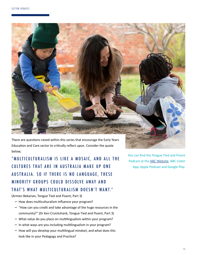

There are questions raised within this series that encourage the Early Years Education and Care sector to critically reflect upon. Consider the quote below;

"MULTICULTURALISM IS LIKE A MOSAIC, AND ALL THE CULTURES THAT ARE IN AUSTRALIA MAKE UP ONE AUSTRALIA. SO IF THERE IS NO LANGUAGE, THESE MINORITY GROUPS COULD DISSOLVE AWAY AND THAT'S WHAT MULTICULTURALISM DOESN'T WANT."

(Armen Bekarian, Tongue Tied and Fluent, Part 3)

- **–** How does multiculturalism influence your program?
- **–** "How can you credit and take advantage of the huge resources in the community?" (Dr Ken Cruickshank, Tongue Tied and Fluent, Part 3)
- **–** What value do you place on multilingualism within your program?
- **–** In what ways are you including multilingualism in your program?
- **–** How will you develop your multilingual mindset, and what does this look like in your Pedagogy and Practice?

You can find the Tongue Tied and Fluent Podcast at the [ABC Website,](https://www.abc.net.au/radionational/programs/earshot/features/tongue-tied-and-fluent/) ABC Listen App, Apple Podcast and Google Play.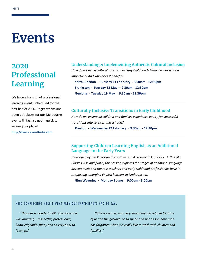## **Events**

### **2020 Professional Learning**

We have a handful of professional learning events scheduled for the first half of 2020. Registrations are open but places for our Melbourne events fill fast, so get in quick to secure your place! **<http://fkacs.eventbrite.com>**

#### **Understanding & Implementing Authentic Cultural Inclusion**

*How do we avoid cultural tokenism in Early Childhood? Who decides what is important? And who does it benefit?*

**Yarra Junction . Tuesday 11 February . 9:30am - 12:30pm Frankston . Tuesday 12 May . 9:30am - 12:30pm Geelong . Tuesday 19 May . 9:30am - 12:30pm**

#### **Culturally Inclusive Transitions in Early Childhood**

*How do we ensure all children and families experience equity for successful transitions into services and schools?* **Preston . Wednesday 12 February . 9:30am - 12:30pm**

#### **Supporting Children Learning English as an Additional Language in the Early Years**

*Developed by the Victorian Curriculum and Assessment Authority, Dr Priscilla Clarke OAM and fkaCS, this session explores the stages of additional language development and the role teachers and early childhood professionals have in supporting emerging English learners in kindergarten.*

**Glen Waverley . Monday 8 June . 9:00am - 3:00pm**

#### NEED CONVINCING? HERE'S WHAT PREVIOUS PARTICIPANTS HAD TO SAY…

*"This was a wonderful PD. The presenter was amazing… respectful, professional, knowledgeable, funny and so very easy to listen to."*

*"[The presenter] was very engaging and related to those of us "on the ground" so to speak and not as someone who has forgotten what it is really like to work with children and families."*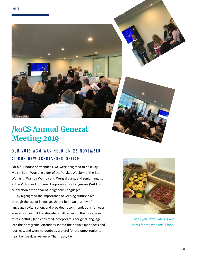## *fka***CS Annual General Meeting 2019**

### OUR 2019 AGM WAS HELD ON 26 NOVEMBER AT OUR NEW ABBOTSFORD OFFICE.

For a full-house of attendees, we were delighted to host Fay Muir – Boon Wurrung elder of the Yalukut Weelum of the Boon Wurrung, Wamba Wamba and Wergiai clans, and senior linguist at the Victorian Aboriginal Corporation for Languages (VACL) – in celebration of the Year of Indigenous Languages.

Fay highlighted the importance of keeping culture alive through the use of language, shared her own journey of language revitalisation, and provided recommendations for ways educators can build relationships with elders in their local area to respectfully (and correctly) incorporate Aboriginal language into their programs. Attendees shared their own experiences and journeys, and were no doubt as grateful for the opportunity to hear Fay speak as we were. Thank you, Fay!



Thank you Pawa Catering and Events for the wonderful food!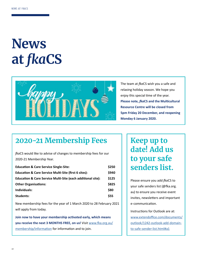# **News at** *fka***CS**



The team at *fka*CS wish you a safe and relaxing holiday season. We hope you enjoy this special time of the year. **Please note,** *fka***CS and the Multicultural Resource Centre will be closed from 5pm Friday 20 December, and reopening Monday 6 January 2020.**

### **2020-21 Membership Fees**

*fka*CS would like to advise of changes to membership fees for our 2020-21 Membership Year.

| <b>Education &amp; Care Service Single-Site:</b>                       | \$250 |
|------------------------------------------------------------------------|-------|
| <b>Education &amp; Care Service Multi-Site (first 6 sites):</b>        | \$940 |
| <b>Education &amp; Care Service Multi-Site (each additional site):</b> | \$125 |
| <b>Other Organisations:</b>                                            | \$825 |
| Individuals:                                                           | \$80  |
| Students:                                                              | \$55  |

New membership fees for the year of 1 March 2020 to 28 February 2021 will apply from today.

**Join now to have your membership activated early, which means you receive the next 3 MONTHS FREE, on us!** Visit [www.fka.org.au/](http://www.fka.org.au/membership/information) [membership/information](http://www.fka.org.au/membership/information) for information and to join.

### **Keep up to date! Add us to your safe senders list.**

Please ensure you add *fka*CS to your safe senders list (@fka.org. au) to ensure you receive event invites, newsletters and important e-communication.

Instructions for Outlook are at: [www.extendoffice.com/documents/](http://www.extendoffice.com/documents/outlook/1242-outlook-add-domain-to-safe-sender-list.html#a1) [outlook/1242-outlook-add-domain](http://www.extendoffice.com/documents/outlook/1242-outlook-add-domain-to-safe-sender-list.html#a1)[to-safe-sender-list.html#a1](http://www.extendoffice.com/documents/outlook/1242-outlook-add-domain-to-safe-sender-list.html#a1)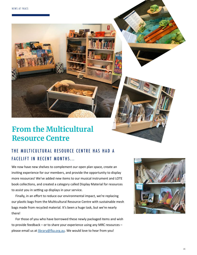### **From the Multicultural Resource Centre**

### THE MULTICULTURAL RESOURCE CENTRE HAS HAD A FACELIFT IN RECENT MONTHS...

We now have new shelves to complement our open plan space, create an inviting experience for our members, and provide the opportunity to display more resources! We've added new items to our musical instrument and LOTE book collections, and created a category called Display Material for resources to assist you in setting up displays in your service.

Finally, in an effort to reduce our environmental impact, we're replacing our plastic bags from the Multicultural Resource Centre with sustainable mesh bags made from recycled material. It's been a huge task, but we're nearly there!

For those of you who have borrowed these newly packaged items and wish to provide feedback – or to share your experience using any MRC resources – please email us at *[library@fka.org.au](mailto:library%40fka.org.au?subject=My%20Experience%20with%20the%20fkaCS%20MRC)*. We would love to hear from you!